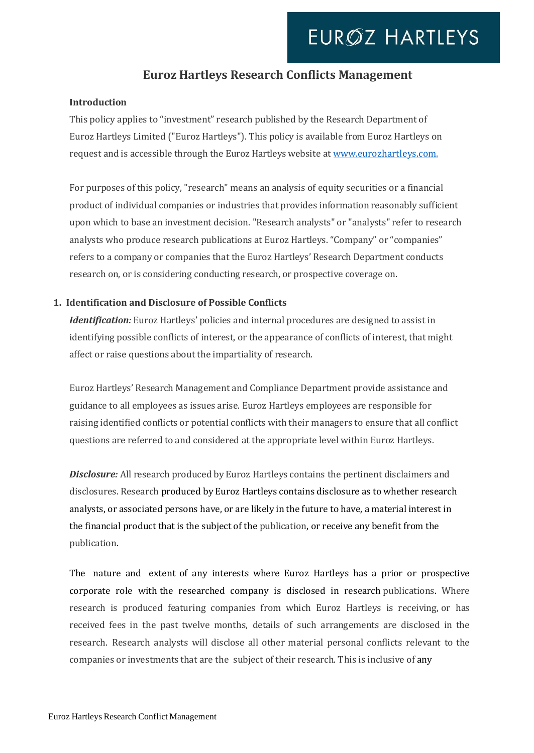## **Euroz Hartleys Research Conflicts Management**

### **Introduction**

This policy applies to "investment" research published by the Research Department of Euroz Hartleys Limited ("Euroz Hartleys"). This policy is available from Euroz Hartleys on request and is accessible through the Euroz Hartleys website a[t www.eurozha](http://www.euroz/)rtleys.com.

For purposes of this policy, "research" means an analysis of equity securities or a financial product of individual companies or industries that provides information reasonably sufficient upon which to base an investment decision. "Research analysts" or "analysts" refer to research analysts who produce research publications at Euroz Hartleys. "Company" or "companies" refers to a company or companies that the Euroz Hartleys' Research Department conducts research on, or is considering conducting research, or prospective coverage on.

### **1. Identification and Disclosure of Possible Conflicts**

*Identification:* Euroz Hartleys' policies and internal procedures are designed to assist in identifying possible conflicts of interest, or the appearance of conflicts of interest, that might affect or raise questions about the impartiality of research.

Euroz Hartleys' Research Management and Compliance Department provide assistance and guidance to all employees as issues arise. Euroz Hartleys employees are responsible for raising identified conflicts or potential conflicts with their managers to ensure that all conflict questions are referred to and considered at the appropriate level within Euroz Hartleys.

**Disclosure:** All research produced by Euroz Hartleys contains the pertinent disclaimers and disclosures. Research produced by Euroz Hartleys contains disclosure as to whether research analysts, or associated persons have, or are likely in the future to have, a material interest in the financial product that is the subject of the publication, or receive any benefit from the publication.

The nature and extent of any interests where Euroz Hartleys has a prior or prospective corporate role with the researched company is disclosed in research publications. Where research is produced featuring companies from which Euroz Hartleys is receiving, or has received fees in the past twelve months, details of such arrangements are disclosed in the research. Research analysts will disclose all other material personal conflicts relevant to the companies or investments that are the subject of their research. This is inclusive of any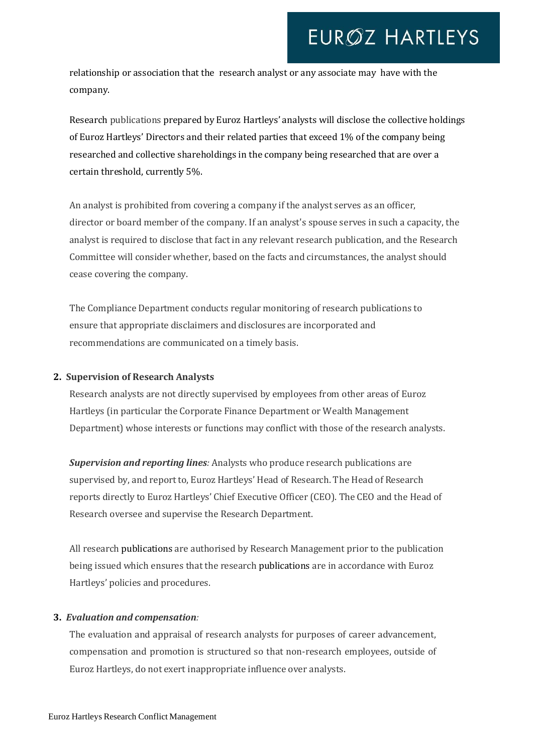relationship or association that the research analyst or any associate may have with the company.

Research publications prepared by Euroz Hartleys' analysts will disclose the collective holdings of Euroz Hartleys' Directors and their related parties that exceed 1% of the company being researched and collective shareholdings in the company being researched that are over a certain threshold, currently 5%.

An analyst is prohibited from covering a company if the analyst serves as an officer, director or board member of the company. If an analyst's spouse serves in such a capacity, the analyst is required to disclose that fact in any relevant research publication, and the Research Committee will consider whether, based on the facts and circumstances, the analyst should cease covering the company.

The Compliance Department conducts regular monitoring of research publications to ensure that appropriate disclaimers and disclosures are incorporated and recommendations are communicated on a timely basis.

### **2. Supervision of Research Analysts**

Research analysts are not directly supervised by employees from other areas of Euroz Hartleys (in particular the Corporate Finance Department or Wealth Management Department) whose interests or functions may conflict with those of the research analysts.

*Supervision and reporting lines:* Analysts who produce research publications are supervised by, and report to, Euroz Hartleys' Head of Research. The Head of Research reports directly to Euroz Hartleys' Chief Executive Officer (CEO). The CEO and the Head of Research oversee and supervise the Research Department.

All research publications are authorised by Research Management prior to the publication being issued which ensures that the research publications are in accordance with Euroz Hartleys' policies and procedures.

### **3.** *Evaluation and compensation:*

The evaluation and appraisal of research analysts for purposes of career advancement, compensation and promotion is structured so that non-research employees, outside of Euroz Hartleys, do not exert inappropriate influence over analysts.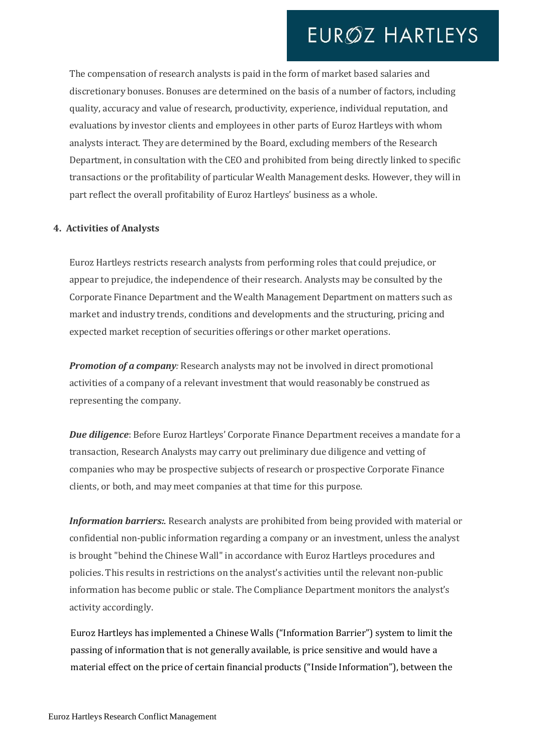The compensation of research analysts is paid in the form of market based salaries and discretionary bonuses. Bonuses are determined on the basis of a number of factors, including quality, accuracy and value of research, productivity, experience, individual reputation, and evaluations by investor clients and employees in other parts of Euroz Hartleys with whom analysts interact. They are determined by the Board, excluding members of the Research Department, in consultation with the CEO and prohibited from being directly linked to specific transactions or the profitability of particular Wealth Management desks. However, they will in part reflect the overall profitability of Euroz Hartleys' business as a whole.

#### **4. Activities of Analysts**

Euroz Hartleys restricts research analysts from performing roles that could prejudice, or appear to prejudice, the independence of their research. Analysts may be consulted by the Corporate Finance Department and the Wealth Management Department on matters such as market and industry trends, conditions and developments and the structuring, pricing and expected market reception of securities offerings or other market operations.

*Promotion of a company:* Research analysts may not be involved in direct promotional activities of a company of a relevant investment that would reasonably be construed as representing the company.

*Due diligence*: Before Euroz Hartleys' Corporate Finance Department receives a mandate for a transaction, Research Analysts may carry out preliminary due diligence and vetting of companies who may be prospective subjects of research or prospective Corporate Finance clients, or both, and may meet companies at that time for this purpose.

*Information barriers:*. Research analysts are prohibited from being provided with material or confidential non-public information regarding a company or an investment, unless the analyst is brought "behind the Chinese Wall"in accordance with Euroz Hartleys procedures and policies. This results in restrictions on the analyst's activities until the relevant non-public information has become public or stale. The Compliance Department monitors the analyst's activity accordingly.

Euroz Hartleys has implemented a Chinese Walls ("Information Barrier") system to limit the passing of information that is not generally available, is price sensitive and would have a material effect on the price of certain financial products ("Inside Information"), between the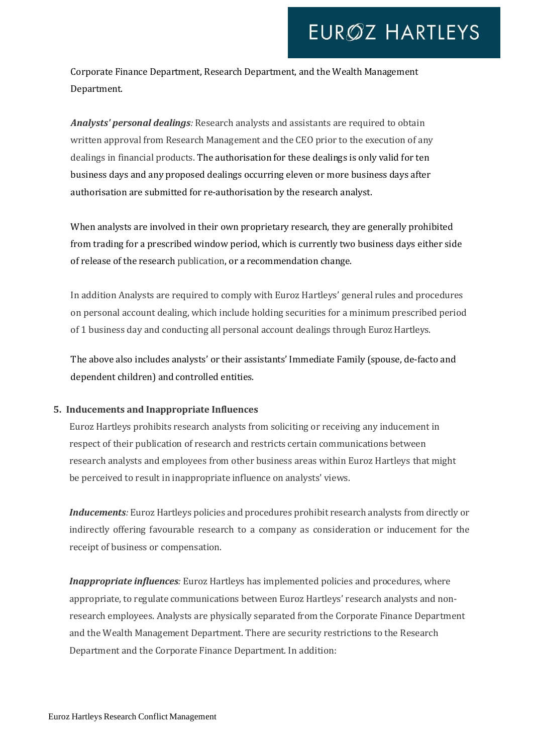Corporate Finance Department, Research Department, and the Wealth Management Department.

*Analysts' personal dealings:* Research analysts and assistants are required to obtain written approval from Research Management and the CEO prior to the execution of any dealings in financial products. The authorisation for these dealings is only valid for ten business days and any proposed dealings occurring eleven or more business days after authorisation are submitted for re-authorisation by the research analyst.

When analysts are involved in their own proprietary research, they are generally prohibited from trading for a prescribed window period, which is currently two business days either side of release of the research publication, or a recommendation change.

In addition Analysts are required to comply with Euroz Hartleys' general rules and procedures on personal account dealing, which include holding securities for a minimum prescribed period of 1 business day and conducting all personal account dealings through Euroz Hartleys.

The above also includes analysts' or their assistants' Immediate Family (spouse, de-facto and dependent children) and controlled entities.

### **5. Inducements and Inappropriate Influences**

Euroz Hartleys prohibits research analysts from soliciting or receiving any inducement in respect of their publication of research and restricts certain communications between research analysts and employees from other business areas within Euroz Hartleys that might be perceived to result in inappropriate influence on analysts' views.

*Inducements:* Euroz Hartleys policies and procedures prohibit research analysts from directly or indirectly offering favourable research to a company as consideration or inducement for the receipt of business or compensation.

*Inappropriate influences:* Euroz Hartleys has implemented policies and procedures, where appropriate, to regulate communications between Euroz Hartleys' research analysts and nonresearch employees. Analysts are physically separated from the Corporate Finance Department and the Wealth Management Department. There are security restrictions to the Research Department and the Corporate Finance Department. In addition: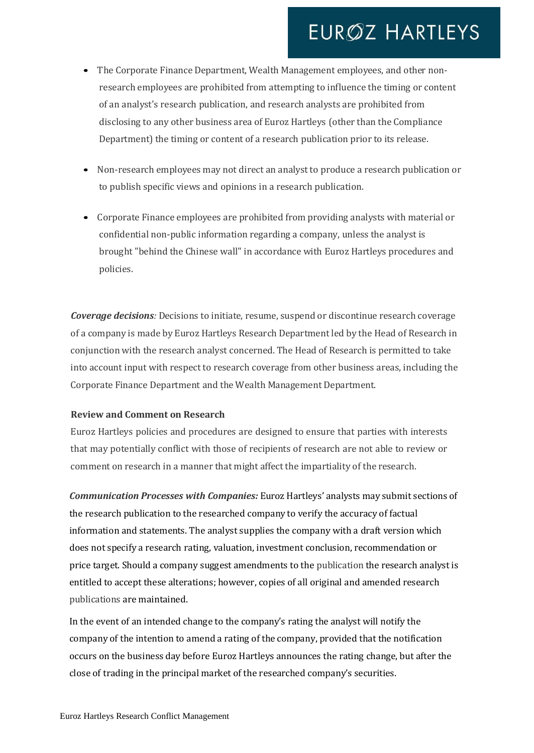- The Corporate Finance Department, Wealth Management employees, and other nonresearch employees are prohibited from attempting to influence the timing or content of an analyst's research publication, and research analysts are prohibited from disclosing to any other business area of Euroz Hartleys (other than the Compliance Department) the timing or content of a research publication prior to its release.
- Non-research employees may not direct an analyst to produce a research publication or to publish specific views and opinions in a research publication.
- Corporate Finance employees are prohibited from providing analysts with material or confidential non-public information regarding a company, unless the analyst is brought "behind the Chinese wall" in accordance with Euroz Hartleys procedures and policies.

*Coverage decisions:* Decisions to initiate, resume, suspend or discontinue research coverage of a company is made by Euroz Hartleys Research Department led by the Head of Research in conjunction with the research analyst concerned. The Head of Research is permitted to take into account input with respect to research coverage from other business areas, including the Corporate Finance Department and the Wealth Management Department.

### **Review and Comment on Research**

Euroz Hartleys policies and procedures are designed to ensure that parties with interests that may potentially conflict with those of recipients of research are not able to review or comment on research in a manner that might affect the impartiality of the research.

*Communication Processes with Companies:* Euroz Hartleys' analysts may submit sections of the research publication to the researched company to verify the accuracy of factual information and statements. The analyst supplies the company with a draft version which does not specify a research rating, valuation, investment conclusion, recommendation or price target. Should a company suggest amendments to the publication the research analyst is entitled to accept these alterations; however, copies of all original and amended research publications are maintained.

In the event of an intended change to the company's rating the analyst will notify the company of the intention to amend a rating of the company, provided that the notification occurs on the business day before Euroz Hartleys announces the rating change, but after the close of trading in the principal market of the researched company's securities.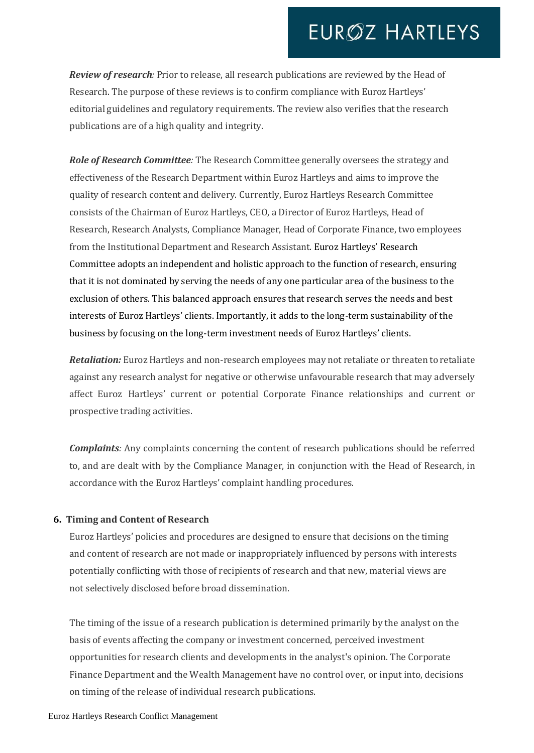*Review of research:* Prior to release, all research publications are reviewed by the Head of Research. The purpose of these reviews is to confirm compliance with Euroz Hartleys' editorial guidelines and regulatory requirements. The review also verifies that the research publications are of a high quality and integrity.

*Role of Research Committee:* The Research Committee generally oversees the strategy and effectiveness of the Research Department within Euroz Hartleys and aims to improve the quality of research content and delivery. Currently, Euroz Hartleys Research Committee consists of the Chairman of Euroz Hartleys, CEO, a Director of Euroz Hartleys, Head of Research, Research Analysts, Compliance Manager, Head of Corporate Finance, two employees from the Institutional Department and Research Assistant. Euroz Hartleys' Research Committee adopts an independent and holistic approach to the function of research, ensuring that it is not dominated by serving the needs of any one particular area of the business to the exclusion of others. This balanced approach ensures that research serves the needs and best interests of Euroz Hartleys' clients. Importantly, it adds to the long-term sustainability of the business by focusing on the long-term investment needs of Euroz Hartleys' clients.

*Retaliation:* Euroz Hartleys and non-research employees may not retaliate or threaten to retaliate against any research analyst for negative or otherwise unfavourable research that may adversely affect Euroz Hartleys' current or potential Corporate Finance relationships and current or prospective trading activities.

*Complaints:* Any complaints concerning the content of research publications should be referred to, and are dealt with by the Compliance Manager, in conjunction with the Head of Research, in accordance with the Euroz Hartleys' complaint handling procedures.

### **6. Timing and Content of Research**

Euroz Hartleys' policies and procedures are designed to ensure that decisions on the timing and content of research are not made or inappropriately influenced by persons with interests potentially conflicting with those of recipients of research and that new, material views are not selectively disclosed before broad dissemination.

The timing of the issue of a research publication is determined primarily by the analyst on the basis of events affecting the company or investment concerned, perceived investment opportunities for research clients and developments in the analyst's opinion. The Corporate Finance Department and the Wealth Management have no control over, or input into, decisions on timing of the release of individual research publications.